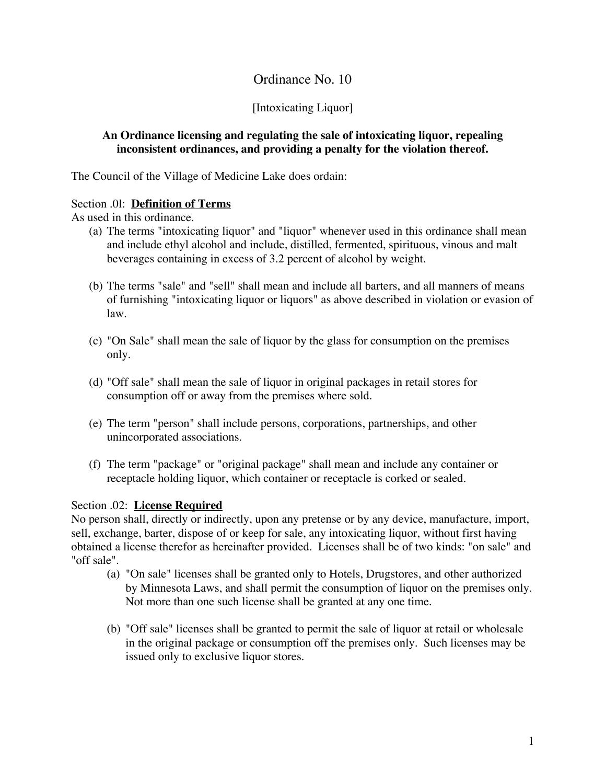# Ordinance No. 10

## [Intoxicating Liquor]

### **An Ordinance licensing and regulating the sale of intoxicating liquor, repealing inconsistent ordinances, and providing a penalty for the violation thereof.**

The Council of the Village of Medicine Lake does ordain:

## Section .0l: **Definition of Terms**

As used in this ordinance.

- (a) The terms "intoxicating liquor" and "liquor" whenever used in this ordinance shall mean and include ethyl alcohol and include, distilled, fermented, spirituous, vinous and malt beverages containing in excess of 3.2 percent of alcohol by weight.
- (b) The terms "sale" and "sell" shall mean and include all barters, and all manners of means of furnishing "intoxicating liquor or liquors" as above described in violation or evasion of law.
- (c) "On Sale" shall mean the sale of liquor by the glass for consumption on the premises only.
- (d) "Off sale" shall mean the sale of liquor in original packages in retail stores for consumption off or away from the premises where sold.
- (e) The term "person" shall include persons, corporations, partnerships, and other unincorporated associations.
- (f) The term "package" or "original package" shall mean and include any container or receptacle holding liquor, which container or receptacle is corked or sealed.

#### Section .02: **License Required**

No person shall, directly or indirectly, upon any pretense or by any device, manufacture, import, sell, exchange, barter, dispose of or keep for sale, any intoxicating liquor, without first having obtained a license therefor as hereinafter provided. Licenses shall be of two kinds: "on sale" and "off sale".

- (a) "On sale" licenses shall be granted only to Hotels, Drugstores, and other authorized by Minnesota Laws, and shall permit the consumption of liquor on the premises only. Not more than one such license shall be granted at any one time.
- (b) "Off sale" licenses shall be granted to permit the sale of liquor at retail or wholesale in the original package or consumption off the premises only. Such licenses may be issued only to exclusive liquor stores.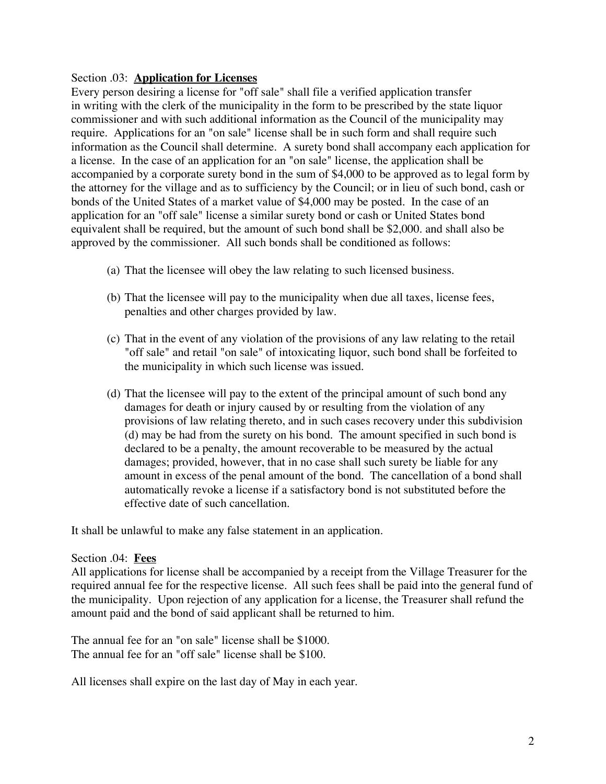#### Section .03: **Application for Licenses**

Every person desiring a license for "off sale" shall file a verified application transfer in writing with the clerk of the municipality in the form to be prescribed by the state liquor commissioner and with such additional information as the Council of the municipality may require. Applications for an "on sale" license shall be in such form and shall require such information as the Council shall determine. A surety bond shall accompany each application for a license. In the case of an application for an "on sale" license, the application shall be accompanied by a corporate surety bond in the sum of \$4,000 to be approved as to legal form by the attorney for the village and as to sufficiency by the Council; or in lieu of such bond, cash or bonds of the United States of a market value of \$4,000 may be posted. In the case of an application for an "off sale" license a similar surety bond or cash or United States bond equivalent shall be required, but the amount of such bond shall be \$2,000. and shall also be approved by the commissioner. All such bonds shall be conditioned as follows:

- (a) That the licensee will obey the law relating to such licensed business.
- (b) That the licensee will pay to the municipality when due all taxes, license fees, penalties and other charges provided by law.
- (c) That in the event of any violation of the provisions of any law relating to the retail "off sale" and retail "on sale" of intoxicating liquor, such bond shall be forfeited to the municipality in which such license was issued.
- (d) That the licensee will pay to the extent of the principal amount of such bond any damages for death or injury caused by or resulting from the violation of any provisions of law relating thereto, and in such cases recovery under this subdivision (d) may be had from the surety on his bond. The amount specified in such bond is declared to be a penalty, the amount recoverable to be measured by the actual damages; provided, however, that in no case shall such surety be liable for any amount in excess of the penal amount of the bond. The cancellation of a bond shall automatically revoke a license if a satisfactory bond is not substituted before the effective date of such cancellation.

It shall be unlawful to make any false statement in an application.

#### Section .04: **Fees**

All applications for license shall be accompanied by a receipt from the Village Treasurer for the required annual fee for the respective license. All such fees shall be paid into the general fund of the municipality. Upon rejection of any application for a license, the Treasurer shall refund the amount paid and the bond of said applicant shall be returned to him.

The annual fee for an "on sale" license shall be \$1000. The annual fee for an "off sale" license shall be \$100.

All licenses shall expire on the last day of May in each year.